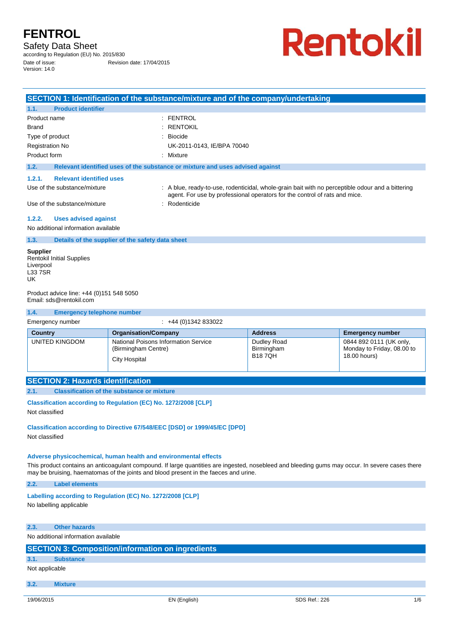Safety Data Sheet

according to Regulation (EU) No. 2015/830 Date of issue: Revision date: 17/04/2015

Version: 14.0

**Rentokil** 

| SECTION 1: Identification of the substance/mixture and of the company/undertaking                         |                                                                                                                                                                                               |  |  |
|-----------------------------------------------------------------------------------------------------------|-----------------------------------------------------------------------------------------------------------------------------------------------------------------------------------------------|--|--|
| <b>Product identifier</b><br>1.1.                                                                         |                                                                                                                                                                                               |  |  |
| Product name<br><b>Brand</b>                                                                              | : FENTROL<br><b>RENTOKIL</b>                                                                                                                                                                  |  |  |
| Type of product                                                                                           | Biocide                                                                                                                                                                                       |  |  |
| <b>Registration No</b>                                                                                    | UK-2011-0143, IE/BPA 70040                                                                                                                                                                    |  |  |
| Product form                                                                                              | : Mixture                                                                                                                                                                                     |  |  |
| 1.2.                                                                                                      | Relevant identified uses of the substance or mixture and uses advised against                                                                                                                 |  |  |
| <b>Relevant identified uses</b><br>1.2.1.<br>Use of the substance/mixture<br>Use of the substance/mixture | : A blue, ready-to-use, rodenticidal, whole-grain bait with no perceptible odour and a bittering<br>agent. For use by professional operators for the control of rats and mice.<br>Rodenticide |  |  |
| <b>Uses advised against</b><br>1.2.2.<br>No additional information available                              |                                                                                                                                                                                               |  |  |
| Details of the supplier of the safety data sheet<br>1.3.                                                  |                                                                                                                                                                                               |  |  |
| <b>Supplier</b><br><b>Rentokil Initial Supplies</b><br>Liverpool<br><b>L337SR</b><br>UK                   |                                                                                                                                                                                               |  |  |
| Product advice line: +44 (0)151 548 5050<br>Email: sds@rentokil.com                                       |                                                                                                                                                                                               |  |  |
| 1.4.<br><b>Emergency telephone number</b>                                                                 |                                                                                                                                                                                               |  |  |
| Emergency number                                                                                          | $: +44(0)1342833022$                                                                                                                                                                          |  |  |

| <b>Country</b> | <b>Organisation/Company</b>                 | <b>Address</b> | <b>Emergency number</b>    |
|----------------|---------------------------------------------|----------------|----------------------------|
| UNITED KINGDOM | <b>National Poisons Information Service</b> | Dudley Road    | 0844 892 0111 (UK only,    |
|                | (Birmingham Centre)                         | Birmingham     | Monday to Friday, 08.00 to |
|                | City Hospital                               | <b>B187QH</b>  | 18.00 hours)               |

### **SECTION 2: Hazards identification**

**2.1. Classification of the substance or mixture** 

**Classification according to Regulation (EC) No. 1272/2008 [CLP]** 

Not classified

**Classification according to Directive 67/548/EEC [DSD] or 1999/45/EC [DPD]** 

Not classified

#### **Adverse physicochemical, human health and environmental effects**

This product contains an anticoagulant compound. If large quantities are ingested, nosebleed and bleeding gums may occur. In severe cases there may be bruising, haematomas of the joints and blood present in the faeces and urine.

**2.2. Label elements** 

### **Labelling according to Regulation (EC) No. 1272/2008 [CLP]**

No labelling applicable

### **2.3. Other hazards**

No additional information available

### **SECTION 3: Composition/information on ingredients**

**3.1. Substance** 

### Not applicable

**3.2. Mixture**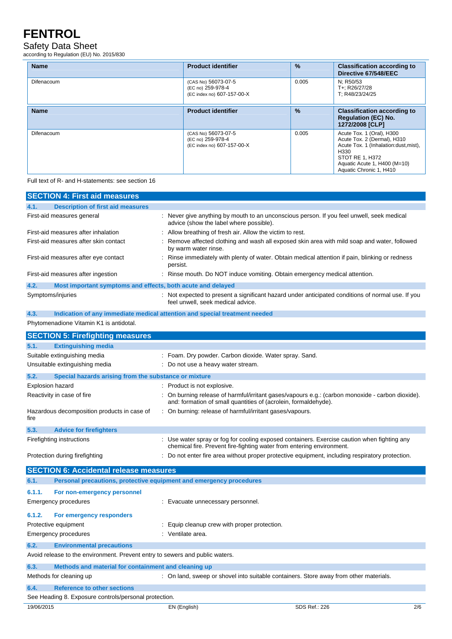### Safety Data Sheet

according to Regulation (EU) No. 2015/830

| <b>Name</b> | <b>Product identifier</b>                                              | $\frac{9}{6}$ | <b>Classification according to</b><br>Directive 67/548/EEC                                                                                                                              |
|-------------|------------------------------------------------------------------------|---------------|-----------------------------------------------------------------------------------------------------------------------------------------------------------------------------------------|
| Difenacoum  | (CAS No) 56073-07-5<br>(EC no) 259-978-4<br>(EC index no) 607-157-00-X | 0.005         | N: R50/53<br>T+: R26/27/28<br>T: R48/23/24/25                                                                                                                                           |
| <b>Name</b> | <b>Product identifier</b>                                              | $\frac{9}{6}$ | <b>Classification according to</b><br><b>Regulation (EC) No.</b><br>1272/2008 [CLP]                                                                                                     |
| Difenacoum  | (CAS No) 56073-07-5<br>(EC no) 259-978-4<br>(EC index no) 607-157-00-X | 0.005         | Acute Tox. 1 (Oral), H300<br>Acute Tox. 2 (Dermal), H310<br>Acute Tox. 1 (Inhalation:dust, mist),<br>H330<br>STOT RE 1, H372<br>Aquatic Acute 1, H400 (M=10)<br>Aquatic Chronic 1, H410 |

#### Full text of R- and H-statements: see section 16

| <b>SECTION 4: First aid measures</b>                                         |                                                                                                                                                                      |                      |
|------------------------------------------------------------------------------|----------------------------------------------------------------------------------------------------------------------------------------------------------------------|----------------------|
| 4.1.<br><b>Description of first aid measures</b>                             |                                                                                                                                                                      |                      |
| First-aid measures general                                                   | : Never give anything by mouth to an unconscious person. If you feel unwell, seek medical<br>advice (show the label where possible).                                 |                      |
| First-aid measures after inhalation                                          | Allow breathing of fresh air. Allow the victim to rest.                                                                                                              |                      |
| First-aid measures after skin contact                                        | Remove affected clothing and wash all exposed skin area with mild soap and water, followed<br>by warm water rinse.                                                   |                      |
| First-aid measures after eye contact                                         | Rinse immediately with plenty of water. Obtain medical attention if pain, blinking or redness<br>persist.                                                            |                      |
| First-aid measures after ingestion                                           | Rinse mouth. Do NOT induce vomiting. Obtain emergency medical attention.                                                                                             |                      |
| 4.2.<br>Most important symptoms and effects, both acute and delayed          |                                                                                                                                                                      |                      |
| Symptoms/injuries                                                            | : Not expected to present a significant hazard under anticipated conditions of normal use. If you<br>feel unwell, seek medical advice.                               |                      |
| 4.3.                                                                         | Indication of any immediate medical attention and special treatment needed                                                                                           |                      |
| Phytomenadione Vitamin K1 is antidotal.                                      |                                                                                                                                                                      |                      |
| <b>SECTION 5: Firefighting measures</b>                                      |                                                                                                                                                                      |                      |
| 5.1.<br><b>Extinguishing media</b>                                           |                                                                                                                                                                      |                      |
| Suitable extinguishing media                                                 | Foam. Dry powder. Carbon dioxide. Water spray. Sand.                                                                                                                 |                      |
| Unsuitable extinguishing media                                               | Do not use a heavy water stream.                                                                                                                                     |                      |
| 5.2.<br>Special hazards arising from the substance or mixture                |                                                                                                                                                                      |                      |
| Explosion hazard                                                             | : Product is not explosive.                                                                                                                                          |                      |
| Reactivity in case of fire                                                   | : On burning release of harmful/irritant gases/vapours e.g.: (carbon monoxide - carbon dioxide).<br>and: formation of small quantities of (acrolein, formaldehyde).  |                      |
| Hazardous decomposition products in case of<br>fire                          | : On burning: release of harmful/irritant gases/vapours.                                                                                                             |                      |
| 5.3.<br><b>Advice for firefighters</b>                                       |                                                                                                                                                                      |                      |
| Firefighting instructions                                                    | : Use water spray or fog for cooling exposed containers. Exercise caution when fighting any<br>chemical fire. Prevent fire-fighting water from entering environment. |                      |
| Protection during firefighting                                               | Do not enter fire area without proper protective equipment, including respiratory protection.                                                                        |                      |
| <b>SECTION 6: Accidental release measures</b>                                |                                                                                                                                                                      |                      |
| 6.1.<br>Personal precautions, protective equipment and emergency procedures  |                                                                                                                                                                      |                      |
| 6.1.1.<br>For non-emergency personnel                                        |                                                                                                                                                                      |                      |
| <b>Emergency procedures</b>                                                  | : Evacuate unnecessary personnel.                                                                                                                                    |                      |
|                                                                              |                                                                                                                                                                      |                      |
| 6.1.2.<br>For emergency responders                                           |                                                                                                                                                                      |                      |
| Protective equipment                                                         | Equip cleanup crew with proper protection.                                                                                                                           |                      |
| Emergency procedures                                                         | Ventilate area.                                                                                                                                                      |                      |
| <b>Environmental precautions</b><br>6.2.                                     |                                                                                                                                                                      |                      |
| Avoid release to the environment. Prevent entry to sewers and public waters. |                                                                                                                                                                      |                      |
| 6.3.<br>Methods and material for containment and cleaning up                 |                                                                                                                                                                      |                      |
| Methods for cleaning up                                                      | : On land, sweep or shovel into suitable containers. Store away from other materials.                                                                                |                      |
| 6.4.<br><b>Reference to other sections</b>                                   |                                                                                                                                                                      |                      |
| See Heading 8. Exposure controls/personal protection.                        |                                                                                                                                                                      |                      |
| 19/06/2015                                                                   | EN (English)                                                                                                                                                         | SDS Ref.: 226<br>2/6 |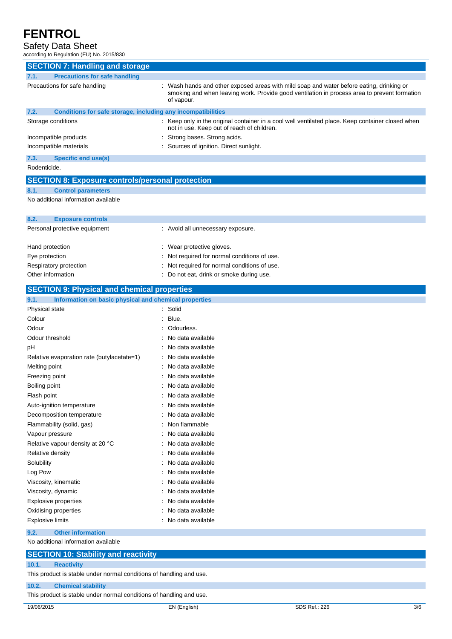### Safety Data Sheet

| according to Regulation (EU) No. 2015/830                            |                                                                                                                                                                                                      |  |  |
|----------------------------------------------------------------------|------------------------------------------------------------------------------------------------------------------------------------------------------------------------------------------------------|--|--|
| <b>SECTION 7: Handling and storage</b>                               |                                                                                                                                                                                                      |  |  |
| <b>Precautions for safe handling</b><br>7.1.                         |                                                                                                                                                                                                      |  |  |
| Precautions for safe handling                                        | Wash hands and other exposed areas with mild soap and water before eating, drinking or<br>smoking and when leaving work. Provide good ventilation in process area to prevent formation<br>of vapour. |  |  |
| Conditions for safe storage, including any incompatibilities<br>7.2. |                                                                                                                                                                                                      |  |  |
| Storage conditions                                                   | : Keep only in the original container in a cool well ventilated place. Keep container closed when<br>not in use. Keep out of reach of children.                                                      |  |  |
| Incompatible products<br>Incompatible materials                      | Strong bases. Strong acids.<br>Sources of ignition. Direct sunlight.                                                                                                                                 |  |  |
| 7.3.<br><b>Specific end use(s)</b>                                   |                                                                                                                                                                                                      |  |  |
| Rodenticide.                                                         |                                                                                                                                                                                                      |  |  |
| <b>SECTION 8: Exposure controls/personal protection</b>              |                                                                                                                                                                                                      |  |  |
| 8.1.<br><b>Control parameters</b>                                    |                                                                                                                                                                                                      |  |  |
| No additional information available                                  |                                                                                                                                                                                                      |  |  |
| 8.2.<br><b>Exposure controls</b>                                     |                                                                                                                                                                                                      |  |  |
| Personal protective equipment                                        | : Avoid all unnecessary exposure.                                                                                                                                                                    |  |  |
| Hand protection                                                      | : Wear protective gloves.                                                                                                                                                                            |  |  |
| Eye protection                                                       | Not required for normal conditions of use.                                                                                                                                                           |  |  |
| Respiratory protection                                               | Not required for normal conditions of use.                                                                                                                                                           |  |  |
| Other information                                                    | : Do not eat, drink or smoke during use.                                                                                                                                                             |  |  |
| <b>SECTION 9: Physical and chemical properties</b>                   |                                                                                                                                                                                                      |  |  |
| 9.1.<br>Information on basic physical and chemical properties        |                                                                                                                                                                                                      |  |  |
| Physical state                                                       | Solid                                                                                                                                                                                                |  |  |
| Colour                                                               | Blue.                                                                                                                                                                                                |  |  |
| Odour                                                                | Odourless.                                                                                                                                                                                           |  |  |
| Odour threshold                                                      | No data available                                                                                                                                                                                    |  |  |
| рH                                                                   | No data available                                                                                                                                                                                    |  |  |
| Relative evaporation rate (butylacetate=1)                           | No data available                                                                                                                                                                                    |  |  |
| Melting point                                                        | : No data available                                                                                                                                                                                  |  |  |
| Freezing point                                                       | No data available                                                                                                                                                                                    |  |  |
| Boiling point                                                        | No data available                                                                                                                                                                                    |  |  |
| Flash point                                                          | No data available                                                                                                                                                                                    |  |  |
| Auto-ignition temperature                                            | No data available                                                                                                                                                                                    |  |  |
| Decomposition temperature                                            | No data available                                                                                                                                                                                    |  |  |
| Flammability (solid, gas)                                            | Non flammable                                                                                                                                                                                        |  |  |
| Vapour pressure                                                      | No data available                                                                                                                                                                                    |  |  |
| Relative vapour density at 20 °C                                     | No data available                                                                                                                                                                                    |  |  |
| Relative density                                                     | No data available                                                                                                                                                                                    |  |  |
| Solubility                                                           | No data available                                                                                                                                                                                    |  |  |
| Log Pow                                                              | No data available                                                                                                                                                                                    |  |  |
| Viscosity, kinematic                                                 | No data available                                                                                                                                                                                    |  |  |
| Viscosity, dynamic                                                   | No data available                                                                                                                                                                                    |  |  |
| <b>Explosive properties</b>                                          | No data available                                                                                                                                                                                    |  |  |
| Oxidising properties                                                 | No data available                                                                                                                                                                                    |  |  |
| <b>Explosive limits</b>                                              | No data available                                                                                                                                                                                    |  |  |
| <b>Other information</b><br>9.2.                                     |                                                                                                                                                                                                      |  |  |
| No additional information available                                  |                                                                                                                                                                                                      |  |  |
| <b>SECTION 10: Stability and reactivity</b>                          |                                                                                                                                                                                                      |  |  |

**10.1. Reactivity** 

This product is stable under normal conditions of handling and use.

#### **10.2. Chemical stability**

This product is stable under normal conditions of handling and use.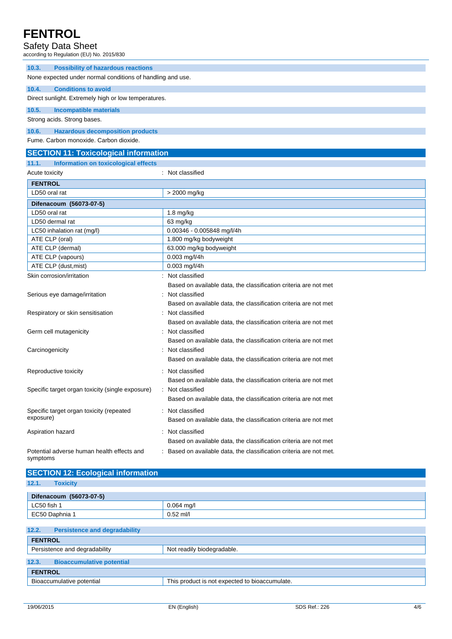### Safety Data Sheet

according to Regulation (EU) No. 2015/830

| iccording to Regulation (LO) No. 2019/030                  |                                                                   |
|------------------------------------------------------------|-------------------------------------------------------------------|
| 10.3.<br><b>Possibility of hazardous reactions</b>         |                                                                   |
| None expected under normal conditions of handling and use. |                                                                   |
| 10.4.<br><b>Conditions to avoid</b>                        |                                                                   |
| Direct sunlight. Extremely high or low temperatures.       |                                                                   |
| 10.5.<br><b>Incompatible materials</b>                     |                                                                   |
| Strong acids. Strong bases.                                |                                                                   |
| <b>Hazardous decomposition products</b><br>10.6.           |                                                                   |
| Fume. Carbon monoxide. Carbon dioxide.                     |                                                                   |
| <b>SECTION 11: Toxicological information</b>               |                                                                   |
| 11.1.<br>Information on toxicological effects              |                                                                   |
| Acute toxicity                                             | : Not classified                                                  |
| <b>FENTROL</b>                                             |                                                                   |
| LD50 oral rat                                              | > 2000 mg/kg                                                      |
| Difenacoum (56073-07-5)                                    |                                                                   |
| LD50 oral rat                                              | $1.8$ mg/kg                                                       |
| LD50 dermal rat                                            | 63 mg/kg                                                          |
| LC50 inhalation rat (mg/l)                                 | 0.00346 - 0.005848 mg/l/4h                                        |
| ATE CLP (oral)                                             | 1.800 mg/kg bodyweight                                            |
| ATE CLP (dermal)                                           | 63.000 mg/kg bodyweight                                           |
| ATE CLP (vapours)                                          | 0.003 mg/l/4h                                                     |
| ATE CLP (dust, mist)                                       | 0.003 mg/l/4h                                                     |
| Skin corrosion/irritation                                  | : Not classified                                                  |
|                                                            | Based on available data, the classification criteria are not met  |
| Serious eye damage/irritation                              | Not classified                                                    |
|                                                            | Based on available data, the classification criteria are not met  |
| Respiratory or skin sensitisation                          | Not classified                                                    |
|                                                            | Based on available data, the classification criteria are not met  |
| Germ cell mutagenicity                                     | Not classified                                                    |
|                                                            | Based on available data, the classification criteria are not met  |
| Carcinogenicity                                            | Not classified                                                    |
|                                                            | Based on available data, the classification criteria are not met  |
| Reproductive toxicity                                      | Not classified                                                    |
|                                                            | Based on available data, the classification criteria are not met  |
| Specific target organ toxicity (single exposure)           | : Not classified                                                  |
|                                                            | Based on available data, the classification criteria are not met  |
| Specific target organ toxicity (repeated                   | Not classified                                                    |
| exposure)                                                  | Based on available data, the classification criteria are not met  |
|                                                            |                                                                   |
| Aspiration hazard                                          | Not classified                                                    |
|                                                            | Based on available data, the classification criteria are not met  |
| Potential adverse human health effects and<br>symptoms     | Based on available data, the classification criteria are not met. |

| <b>SECTION 12: Ecological information</b>     |                            |  |
|-----------------------------------------------|----------------------------|--|
| 12.1.<br><b>Toxicity</b>                      |                            |  |
| Difenacoum (56073-07-5)                       |                            |  |
| LC50 fish 1                                   | $0.064$ mg/l               |  |
| EC50 Daphnia 1                                | $0.52$ ml/l                |  |
|                                               |                            |  |
| 12.2.<br><b>Persistence and degradability</b> |                            |  |
| <b>FENTROL</b>                                |                            |  |
| Persistence and degradability                 | Not readily biodegradable. |  |
| 422<br>Disasoumulative netential              |                            |  |

| 12.3.          | <b>Bioaccumulative potential</b> |                                                |
|----------------|----------------------------------|------------------------------------------------|
| <b>FENTROL</b> |                                  |                                                |
|                | Bioaccumulative potential        | This product is not expected to bioaccumulate. |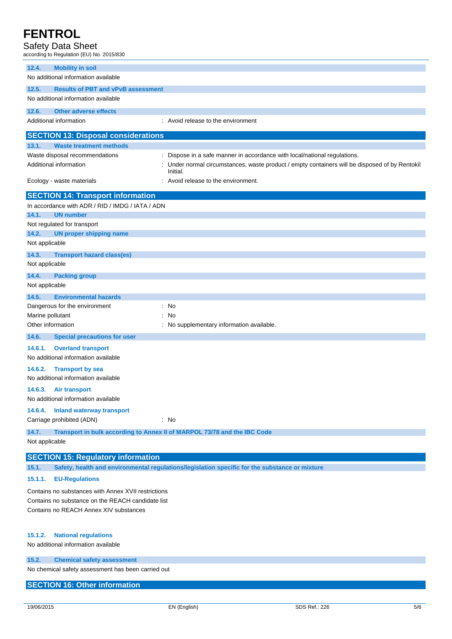### Safety Data Sheet

according to Regulation (EU) No. 2015/830

| 12.4.<br><b>Mobility in soil</b>                                          |                                                                                                          |
|---------------------------------------------------------------------------|----------------------------------------------------------------------------------------------------------|
| No additional information available                                       |                                                                                                          |
| 12.5.<br><b>Results of PBT and vPvB assessment</b>                        |                                                                                                          |
| No additional information available                                       |                                                                                                          |
| 12.6.<br><b>Other adverse effects</b>                                     |                                                                                                          |
| Additional information                                                    | : Avoid release to the environment                                                                       |
| <b>SECTION 13: Disposal considerations</b>                                |                                                                                                          |
| 13.1.<br><b>Waste treatment methods</b>                                   |                                                                                                          |
| Waste disposal recommendations                                            | Dispose in a safe manner in accordance with local/national regulations.                                  |
| Additional information                                                    | Under normal circumstances, waste product / empty containers will be disposed of by Rentokil<br>Initial. |
| Ecology - waste materials                                                 | : Avoid release to the environment.                                                                      |
| <b>SECTION 14: Transport information</b>                                  |                                                                                                          |
| In accordance with ADR / RID / IMDG / IATA / ADN                          |                                                                                                          |
| 14.1.<br><b>UN number</b>                                                 |                                                                                                          |
| Not regulated for transport                                               |                                                                                                          |
| 14.2.<br><b>UN proper shipping name</b>                                   |                                                                                                          |
| Not applicable                                                            |                                                                                                          |
| 14.3.<br><b>Transport hazard class(es)</b>                                |                                                                                                          |
| Not applicable                                                            |                                                                                                          |
| 14.4.<br><b>Packing group</b>                                             |                                                                                                          |
| Not applicable                                                            |                                                                                                          |
| 14.5.<br><b>Environmental hazards</b>                                     |                                                                                                          |
| Dangerous for the environment                                             | No                                                                                                       |
| Marine pollutant                                                          | No                                                                                                       |
| Other information                                                         | No supplementary information available.                                                                  |
| 14.6.<br><b>Special precautions for user</b>                              |                                                                                                          |
| 14.6.1.<br><b>Overland transport</b>                                      |                                                                                                          |
| No additional information available                                       |                                                                                                          |
| 14.6.2.<br><b>Transport by sea</b><br>No additional information available |                                                                                                          |
| 14.6.3.<br>Air transport                                                  |                                                                                                          |
| No additional information available                                       |                                                                                                          |
| 14.6.4.<br><b>Inland waterway transport</b><br>Carriage prohibited (ADN)  | $\therefore$ No                                                                                          |
|                                                                           |                                                                                                          |
| 14.7.                                                                     | Transport in bulk according to Annex II of MARPOL 73/78 and the IBC Code                                 |
| Not applicable                                                            |                                                                                                          |
| <b>SECTION 15: Regulatory information</b>                                 |                                                                                                          |
| 15.1.                                                                     | Safety, health and environmental regulations/legislation specific for the substance or mixture           |
| 15.1.1.<br><b>EU-Regulations</b>                                          |                                                                                                          |
|                                                                           |                                                                                                          |

Contains no substances with Annex XVII restrictions Contains no substance on the REACH candidate list Contains no REACH Annex XIV substances

### **15.1.2. National regulations**

No additional information available

#### **15.2. Chemical safety assessment**

No chemical safety assessment has been carried out

### **SECTION 16: Other information**